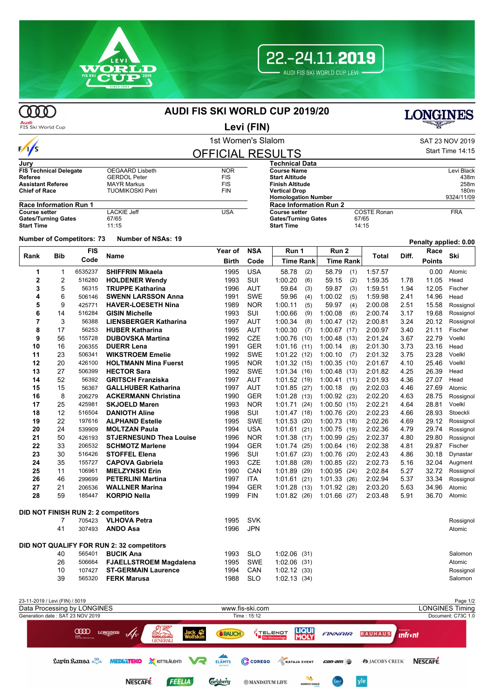



 $\omega$ 

## **AUDI FIS SKI WORLD CUP 2019/20**



| <b>LONGINES</b>                                                                                                                                                                                                                          |
|------------------------------------------------------------------------------------------------------------------------------------------------------------------------------------------------------------------------------------------|
| <b>alastronian de la propone de la companya de la companya de la companya de la companya de la companya de la comp<br/>La companya de la companya de la companya de la companya de la companya de la companya de la companya de la c</b> |

## Audi<br>FIS Ski World Cup **Levi (FIN)** 1st Women's Slalom Sattle and SAT 23 NOV 2019  $\frac{1}{s}$ Start Time 14:15 OFFICIAL RESULTS **Jury Technical Data FIS Technical Delegate** OEGAARD Lisbeth NOR<br> **Referee** GERDOL Peter FIS **Course Name** Levi Black **References**<br> **REFERENT FISS**<br> **REFERENT FIS**<br> **REFERENT FIS Start Altitude** 438m **Assistant Referee MAYR Markus FIS<br>
Chief of Race FIGUAL TUOMIKOSKI Petri** FIN **Finish Altitude** 258m **TUOMIKOSKI Petri Vertical Drop** 180m **Homologation Number Race Information Run 1 Race Information Run 2 Course setter** LACKIE Jeff USA<br>
Gates/Turning Gates 67/65 **COSTE Ronan FRA**<br>67/65 **Gates/Turning Gates** 67/65<br>**Start Time** 11:15 **Gates/Turning Gates** 67/65 **Start Time Start Time Number of Competitors: <sup>73</sup> Number of NSAs: <sup>19</sup> Penalty applied: 0.00 FIS NSA Year of Run 1 Run 2 Race Bib Birth** Code **Figure Time Rank** Time Rank **Time Rank** Time Rank **Ski Rank** Bib code Name **The Contract Contract Contract Contract Contract Contract Contract Contract Contract Contract Contract Contract Contract Contract Contract Contract Contract Contract Contract Contract Contract Contrac Code Code Time Rank Time Rank 1** 1 6535237 **SHIFFRIN Mikaela** 1995 USA 58.78 (2) 58.79 (1) 1:57.57 0.00 Atomic **2** 2 516280 **HOLDENER Wendy** 1993 SUI 1:00.20 (6) 59.15 (2) 1:59.35 1.78 11.05 Head **3** 5 56315 **TRUPPE Katharina** 1996 AUT 59.64 (3) 59.87 (3) 1:59.51 1.94 12.05 Fischer **4** 6 506146 **SWENN LARSSON Anna** 1991 SWE 59.96 (4) 1:00.02 (5) 1:59.98 2.41 14.96 Head **5** 9 425771 **HAVER-LOESETH Nina** 1989 NOR 1:00.11 (5) 59.97 (4) 2:00.08 2.51 15.58 Rossignol **6** 14 516284 **GISIN Michelle** 1993 SUI 1:00.66 (9) 1:00.08 (6) 2:00.74 3.17 19.68 Rossignol **7** 3 56388 **LIENSBERGER Katharina** 1997 AUT 1:00.34 (8) 1:00.47 (12) 2:00.81 3.24 20.12 Rossignol **8** 17 56253 **HUBER Katharina** 1995 AUT 1:00.30 (7) 1:00.67 (17) 2:00.97 3.40 21.11 Fischer **9** 56 155728 **DUBOVSKA Martina** 1992 CZE 1:00.76 (10) 1:00.48 (13) 2:01.24 3.67 22.79 Voelkl **10** 16 206355 **DUERR Lena** 1991 GER 1:01.16 (11) 1:00.14 (8) 2:01.30 3.73 23.16 Head **11** 23 506341 **WIKSTROEM Emelie** 1992 SWE 1:01.22 (12) 1:00.10 (7) 2:01.32 3.75 23.28 Voelkl **12** 20 426100 **HOLTMANN Mina Fuerst** 1995 NOR 1:01.32 (15) 1:00.35 (10) 2:01.67 4.10 25.46 Voelkl **13** 27 506399 **HECTOR Sara** 1992 SWE 1:01.34 (16) 1:00.48 (13) 2:01.82 4.25 26.39 Head **14** 52 56392 **GRITSCH Franziska** 1997 AUT 1:01.52 (19) 1:00.41 (11) 2:01.93 4.36 27.07 Head **15** 15 56367 **GALLHUBER Katharina** 1997 AUT 1:01.85 (27) 1:00.18 (9) 2:02.03 4.46 27.69 Atomic **ACKERMANN Christina** 1990 GER 1:01.28 (13) 1:00.92 (23) 2:02.20 4:63 28.75 Rossignol **17** 25 425981 **SKJOELD Maren** 1993 NOR 1:01.71 (24) 1:00.50 (15) 2:02.21 4.64 28.81 Voelkl **18** 12 516504 **DANIOTH Aline** 1998 SUI 1:01.47 (18) 1:00.76 (20) 2:02.23 4.66 28.93 Stoeckli **19** 22 197616 **ALPHAND Estelle** 1995 SWE 1:01.53 (20) 1:00.73 (18) 2:02.26 4.69 29.12 Rossignol **20** 24 539909 **MOLTZAN Paula** 1994 USA 1:01.61 (21) 1:00.75 (19) 2:02.36 4.79 29.74 Rossignol **21** 50 426193 **STJERNESUND Thea Louise** 1996 NOR 1:01.38 (17) 1:00.99 (25) 2:02.37 4.80 29.80 Rossignol **22** 33 206532 **SCHMOTZ Marlene** 1994 GER 1:01.74 (25) 1:00.64 (16) 2:02.38 4.81 29.87 Fischer **23** 30 516426 **STOFFEL Elena** 1996 SUI 1:01.67 (23) 1:00.76 (20) 2:02.43 4.86 30.18 Dynastar **24** 35 155727 **CAPOVA Gabriela** 1993 CZE 1:01.88 (28) 1:00.85 (22) 2:02.73 5.16 32.04 Augment **25** 11 106961 **MIELZYNSKI Erin** 1990 CAN 1:01.89 (29) 1:00.95 (24) 2:02.84 5.27 32.72 Rossignol **26** 46 299699 **PETERLINI Martina** 1997 ITA 1:01.61 (21) 1:01.33 (26) 2:02.94 5.37 33.34 Rossignol **27** 21 206536 **WALLNER Marina** 1994 GER 1:01.28 (13) 1:01.92 (28) 2:03.20 5.63 34.96 Atomic **28** 59 185447 **KORPIO Nella** 1999 FIN 1:01.82 (26) 1:01.66 (27) 2:03.48 5.91 36.70 Atomic **DID NOT FINISH RUN 2: 2 competitors** 7 705423 **VLHOVA Petra** 1995 SVK Rossignol 41 307493 **ANDO Asa** 1996 JPN Atomic **DID NOT QUALIFY FOR RUN 2: 32 competitors** 40 565401 **BUCIK Ana** 1993 SLO 1:02.06 (31) Salomon 26 506664 **FJAELLSTROEM Magdalena** 1995 SWE 1:02.06 (31) Atomic

| 23-11-2019 / Levi (FIN) / 5019                                                   |                                                                                                                          | Page 1/2                                     |
|----------------------------------------------------------------------------------|--------------------------------------------------------------------------------------------------------------------------|----------------------------------------------|
| Data Processing by LONGINES                                                      | www.fis-ski.com                                                                                                          | LONGINES Timing                              |
| Generation date: SAT 23 NOV 2019                                                 | Time: 15:12                                                                                                              | Document: C73C 1.0                           |
| $\mathscr{M}_{s}$<br><b>COOD</b><br><b>LONGINES</b><br>Audi<br>FIS Ski World Cup | <u> 17</u><br><b>LIQUI</b><br><b>MOLY</b><br>Jack **<br>I TELENOT<br>Die Alarmanlage<br><b>SRAUCH</b><br><b>GENERALI</b> | BAUHAUS Infront<br><b>FINNAIR</b>            |
|                                                                                  | Lapín Kansa <sup>90</sup> MEDIATEKO X KITTILÄLEHTI VA ELÄMYS C COREGO K KATAJA EVENT                                     | can-am<br>NESCAFE.<br><b>ASJACOB'S CREEK</b> |
| <b>NESCAFE</b>                                                                   | <b>Grisberg</b><br><b>FEELIA</b><br><b>@MANDATUM LIFE</b><br><b>AGNICO EAGLE</b>                                         | yle                                          |

10 107427 **ST-GERMAIN Laurence** 1994 CAN 1:02.12 (33) Rossignol 39 565320 **FERK Marusa** 1988 SLO 1:02.13 (34) Salomon